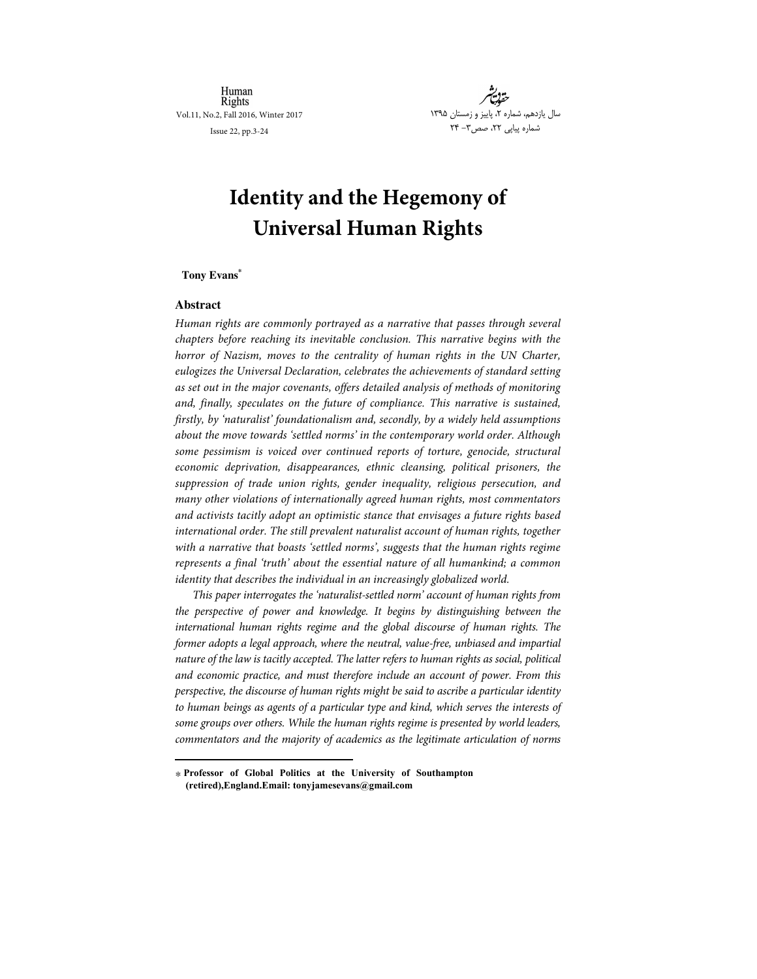Human Rights Vol.11, No.2, Fall 2016, Winter 2017

Issue 22, pp.3-24



# **Identity and the Hegemony of Universal Human Rights**

# **Tony Evans\***

# **Abstract**

-

Human rights are commonly portrayed as a narrative that passes through several chapters before reaching its inevitable conclusion. This narrative begins with the horror of Nazism, moves to the centrality of human rights in the UN Charter, eulogizes the Universal Declaration, celebrates the achievements of standard setting as set out in the major covenants, offers detailed analysis of methods of monitoring and, finally, speculates on the future of compliance. This narrative is sustained, firstly, by 'naturalist' foundationalism and, secondly, by a widely held assumptions about the move towards 'settled norms' in the contemporary world order. Although some pessimism is voiced over continued reports of torture, genocide, structural economic deprivation, disappearances, ethnic cleansing, political prisoners, the suppression of trade union rights, gender inequality, religious persecution, and many other violations of internationally agreed human rights, most commentators and activists tacitly adopt an optimistic stance that envisages a future rights based international order. The still prevalent naturalist account of human rights, together with a narrative that boasts 'settled norms', suggests that the human rights regime represents a final 'truth' about the essential nature of all humankind; a common identity that describes the individual in an increasingly globalized world.

This paper interrogates the 'naturalist-settled norm' account of human rights from the perspective of power and knowledge. It begins by distinguishing between the international human rights regime and the global discourse of human rights. The former adopts a legal approach, where the neutral, value-free, unbiased and impartial nature of the law is tacitly accepted. The latter refers to human rights as social, political and economic practice, and must therefore include an account of power. From this perspective, the discourse of human rights might be said to ascribe a particular identity to human beings as agents of a particular type and kind, which serves the interests of some groups over others. While the human rights regime is presented by world leaders, commentators and the majority of academics as the legitimate articulation of norms

<sup>\*</sup>  **Professor of Global Politics at the University of Southampton (retired),England.Email: tonyjamesevans@gmail.com**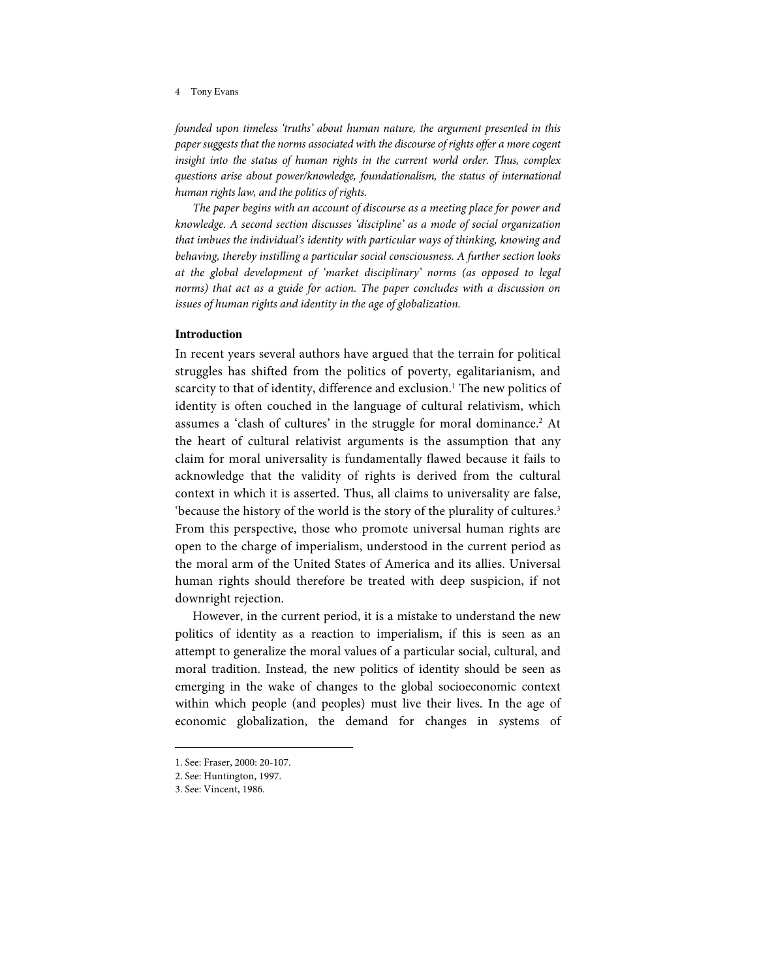founded upon timeless 'truths' about human nature, the argument presented in this paper suggests that the norms associated with the discourse of rights offer a more cogent insight into the status of human rights in the current world order. Thus, complex questions arise about power/knowledge, foundationalism, the status of international human rights law, and the politics of rights.

The paper begins with an account of discourse as a meeting place for power and knowledge. A second section discusses 'discipline' as a mode of social organization that imbues the individual's identity with particular ways of thinking, knowing and behaving, thereby instilling a particular social consciousness. A further section looks at the global development of 'market disciplinary' norms (as opposed to legal norms) that act as a guide for action. The paper concludes with a discussion on issues of human rights and identity in the age of globalization.

# **Introduction**

In recent years several authors have argued that the terrain for political struggles has shifted from the politics of poverty, egalitarianism, and scarcity to that of identity, difference and exclusion. <sup>1</sup> The new politics of identity is often couched in the language of cultural relativism, which assumes a 'clash of cultures' in the struggle for moral dominance.<sup>2</sup> At the heart of cultural relativist arguments is the assumption that any claim for moral universality is fundamentally flawed because it fails to acknowledge that the validity of rights is derived from the cultural context in which it is asserted. Thus, all claims to universality are false, 'because the history of the world is the story of the plurality of cultures.<sup>3</sup> From this perspective, those who promote universal human rights are open to the charge of imperialism, understood in the current period as the moral arm of the United States of America and its allies. Universal human rights should therefore be treated with deep suspicion, if not downright rejection.

However, in the current period, it is a mistake to understand the new politics of identity as a reaction to imperialism, if this is seen as an attempt to generalize the moral values of a particular social, cultural, and moral tradition. Instead, the new politics of identity should be seen as emerging in the wake of changes to the global socioeconomic context within which people (and peoples) must live their lives. In the age of economic globalization, the demand for changes in systems of

<sup>1.</sup> See: Fraser, 2000: 20-107.

<sup>2.</sup> See: Huntington, 1997.

<sup>3.</sup> See: Vincent, 1986.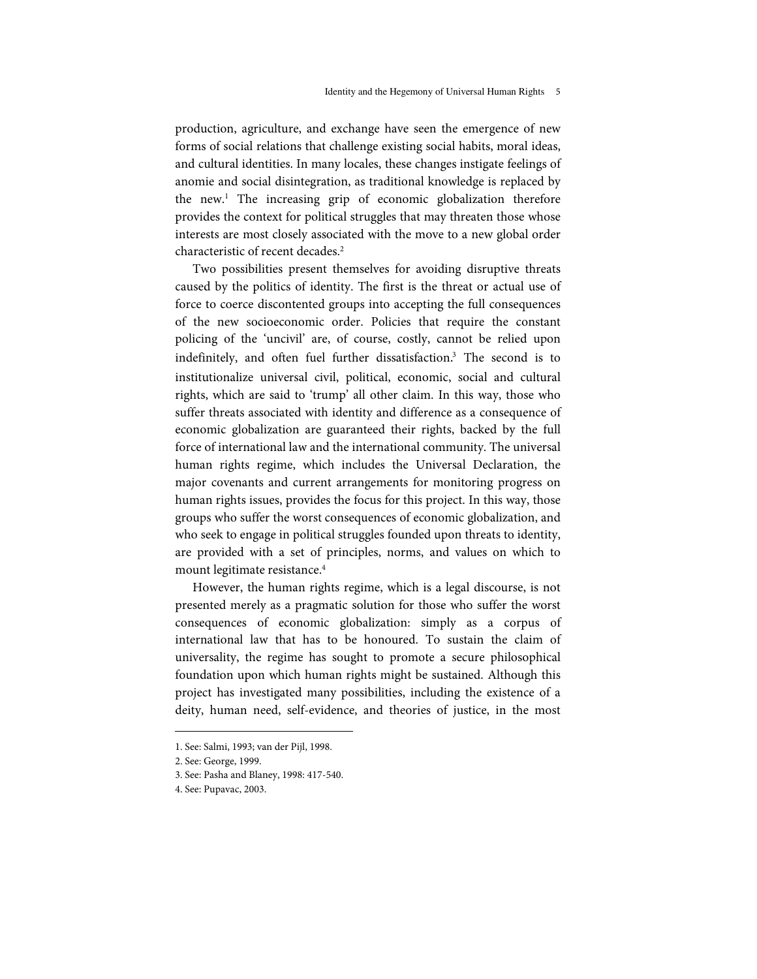production, agriculture, and exchange have seen the emergence of new forms of social relations that challenge existing social habits, moral ideas, and cultural identities. In many locales, these changes instigate feelings of anomie and social disintegration, as traditional knowledge is replaced by the new.<sup>1</sup> The increasing grip of economic globalization therefore provides the context for political struggles that may threaten those whose interests are most closely associated with the move to a new global order characteristic of recent decades. 2

Two possibilities present themselves for avoiding disruptive threats caused by the politics of identity. The first is the threat or actual use of force to coerce discontented groups into accepting the full consequences of the new socioeconomic order. Policies that require the constant policing of the 'uncivil' are, of course, costly, cannot be relied upon indefinitely, and often fuel further dissatisfaction.<sup>3</sup> The second is to institutionalize universal civil, political, economic, social and cultural rights, which are said to 'trump' all other claim. In this way, those who suffer threats associated with identity and difference as a consequence of economic globalization are guaranteed their rights, backed by the full force of international law and the international community. The universal human rights regime, which includes the Universal Declaration, the major covenants and current arrangements for monitoring progress on human rights issues, provides the focus for this project. In this way, those groups who suffer the worst consequences of economic globalization, and who seek to engage in political struggles founded upon threats to identity, are provided with a set of principles, norms, and values on which to mount legitimate resistance. 4

However, the human rights regime, which is a legal discourse, is not presented merely as a pragmatic solution for those who suffer the worst consequences of economic globalization: simply as a corpus of international law that has to be honoured. To sustain the claim of universality, the regime has sought to promote a secure philosophical foundation upon which human rights might be sustained. Although this project has investigated many possibilities, including the existence of a deity, human need, self-evidence, and theories of justice, in the most

<sup>1.</sup> See: Salmi, 1993; van der Pijl, 1998.

<sup>2.</sup> See: George, 1999.

<sup>3.</sup> See: Pasha and Blaney, 1998: 417-540.

<sup>4.</sup> See: Pupavac, 2003.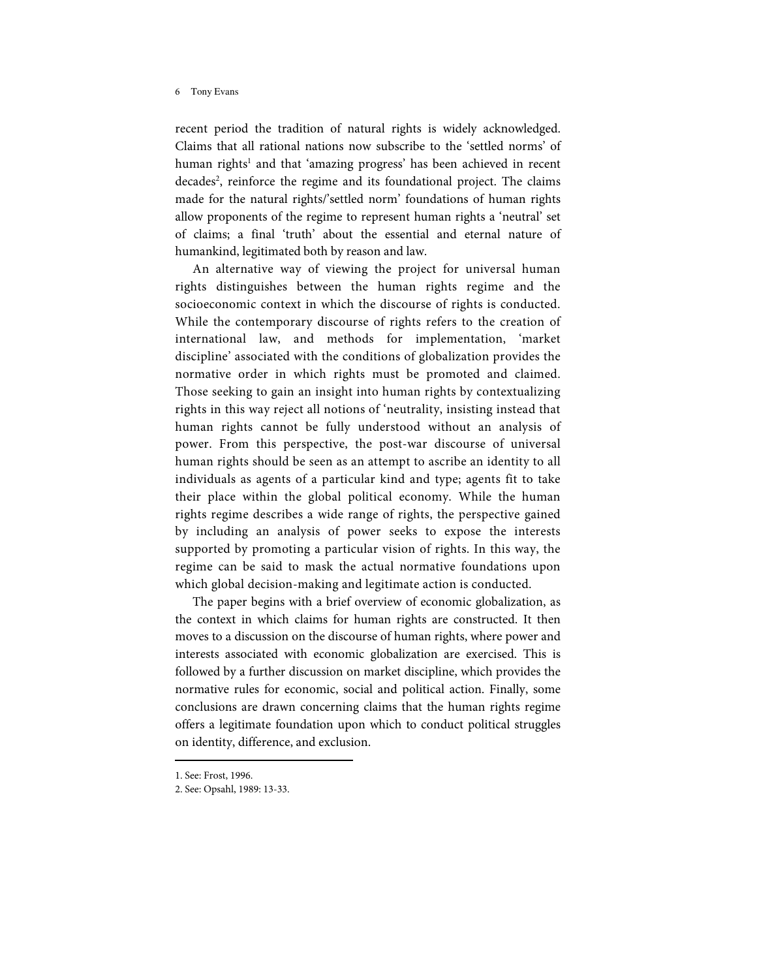recent period the tradition of natural rights is widely acknowledged. Claims that all rational nations now subscribe to the 'settled norms' of human rights<sup>1</sup> and that 'amazing progress' has been achieved in recent decades 2 , reinforce the regime and its foundational project. The claims made for the natural rights/'settled norm' foundations of human rights allow proponents of the regime to represent human rights a 'neutral' set of claims; a final 'truth' about the essential and eternal nature of humankind, legitimated both by reason and law.

An alternative way of viewing the project for universal human rights distinguishes between the human rights regime and the socioeconomic context in which the discourse of rights is conducted. While the contemporary discourse of rights refers to the creation of international law, and methods for implementation, 'market discipline' associated with the conditions of globalization provides the normative order in which rights must be promoted and claimed. Those seeking to gain an insight into human rights by contextualizing rights in this way reject all notions of 'neutrality, insisting instead that human rights cannot be fully understood without an analysis of power. From this perspective, the post-war discourse of universal human rights should be seen as an attempt to ascribe an identity to all individuals as agents of a particular kind and type; agents fit to take their place within the global political economy. While the human rights regime describes a wide range of rights, the perspective gained by including an analysis of power seeks to expose the interests supported by promoting a particular vision of rights. In this way, the regime can be said to mask the actual normative foundations upon which global decision-making and legitimate action is conducted.

The paper begins with a brief overview of economic globalization, as the context in which claims for human rights are constructed. It then moves to a discussion on the discourse of human rights, where power and interests associated with economic globalization are exercised. This is followed by a further discussion on market discipline, which provides the normative rules for economic, social and political action. Finally, some conclusions are drawn concerning claims that the human rights regime offers a legitimate foundation upon which to conduct political struggles on identity, difference, and exclusion.

j

<sup>1.</sup> See: Frost, 1996.

<sup>2.</sup> See: Opsahl, 1989: 13-33.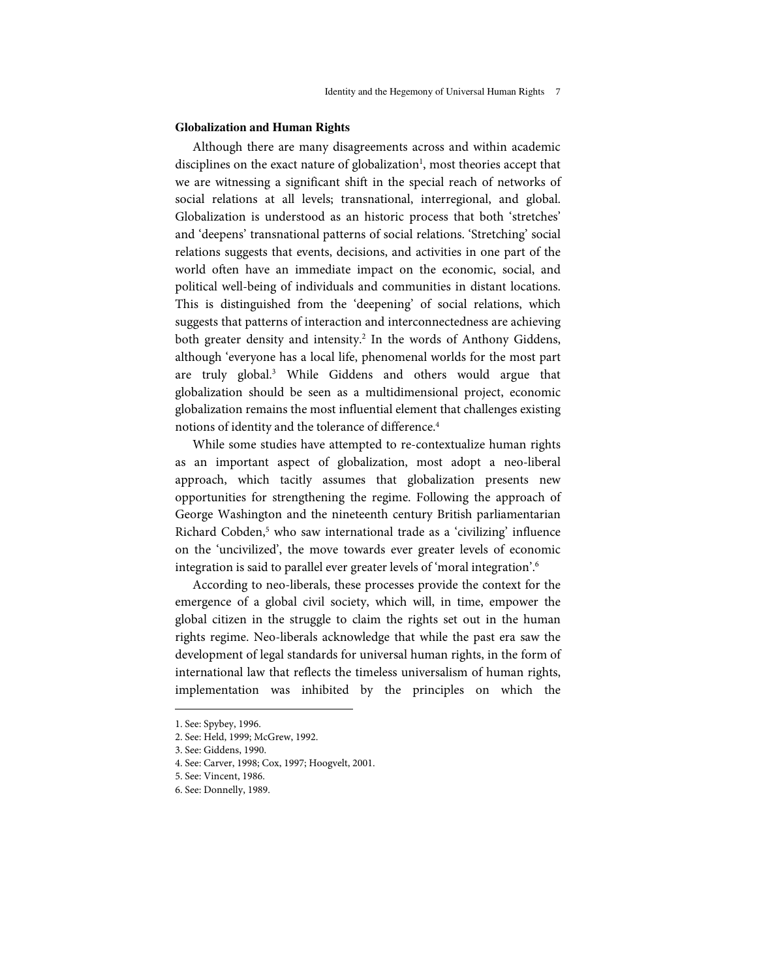## **Globalization and Human Rights**

Although there are many disagreements across and within academic disciplines on the exact nature of globalization<sup>1</sup>, most theories accept that we are witnessing a significant shift in the special reach of networks of social relations at all levels; transnational, interregional, and global. Globalization is understood as an historic process that both 'stretches' and 'deepens' transnational patterns of social relations. 'Stretching' social relations suggests that events, decisions, and activities in one part of the world often have an immediate impact on the economic, social, and political well-being of individuals and communities in distant locations. This is distinguished from the 'deepening' of social relations, which suggests that patterns of interaction and interconnectedness are achieving both greater density and intensity.<sup>2</sup> In the words of Anthony Giddens, although 'everyone has a local life, phenomenal worlds for the most part are truly global.<sup>3</sup> While Giddens and others would argue that globalization should be seen as a multidimensional project, economic globalization remains the most influential element that challenges existing notions of identity and the tolerance of difference. 4

While some studies have attempted to re-contextualize human rights as an important aspect of globalization, most adopt a neo-liberal approach, which tacitly assumes that globalization presents new opportunities for strengthening the regime. Following the approach of George Washington and the nineteenth century British parliamentarian Richard Cobden,<sup>5</sup> who saw international trade as a 'civilizing' influence on the 'uncivilized', the move towards ever greater levels of economic integration is said to parallel ever greater levels of 'moral integration'. $\stackrel{\text{\scriptsize6}}{ }$ 

According to neo-liberals, these processes provide the context for the emergence of a global civil society, which will, in time, empower the global citizen in the struggle to claim the rights set out in the human rights regime. Neo-liberals acknowledge that while the past era saw the development of legal standards for universal human rights, in the form of international law that reflects the timeless universalism of human rights, implementation was inhibited by the principles on which the

<sup>1.</sup> See: Spybey, 1996.

<sup>2.</sup> See: Held, 1999; McGrew, 1992.

<sup>3.</sup> See: Giddens, 1990.

<sup>4.</sup> See: Carver, 1998; Cox, 1997; Hoogvelt, 2001.

<sup>5.</sup> See: Vincent, 1986.

<sup>6.</sup> See: Donnelly, 1989.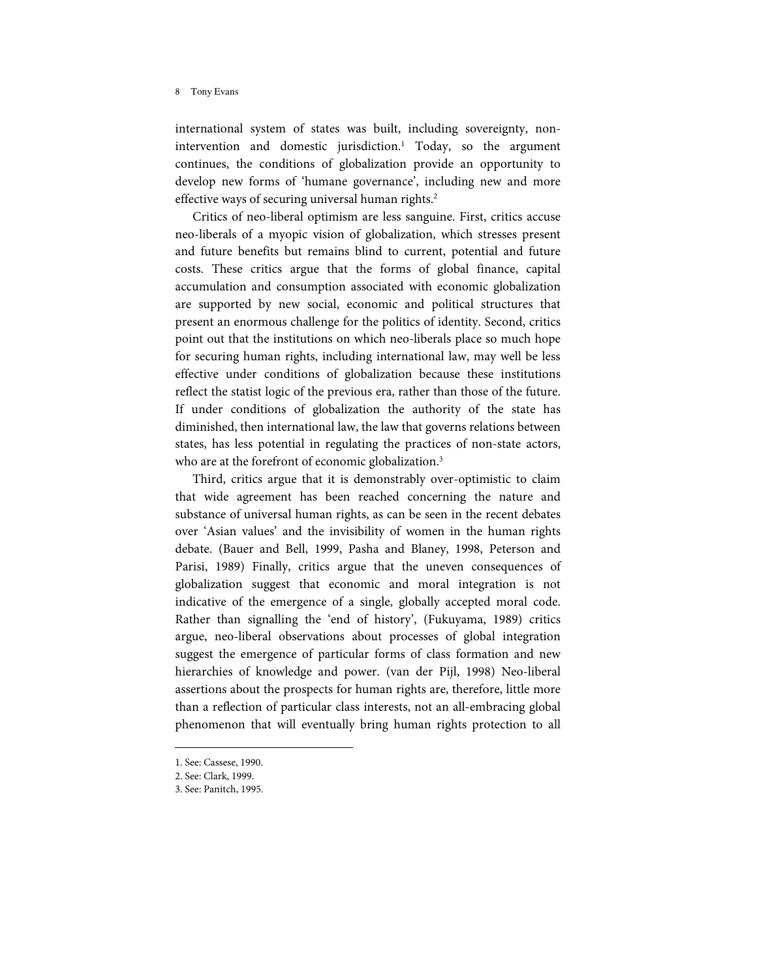international system of states was built, including sovereignty, nonintervention and domestic jurisdiction. <sup>1</sup> Today, so the argument continues, the conditions of globalization provide an opportunity to develop new forms of 'humane governance', including new and more effective ways of securing universal human rights.<sup>2</sup>

Critics of neo-liberal optimism are less sanguine. First, critics accuse neo-liberals of a myopic vision of globalization, which stresses present and future benefits but remains blind to current, potential and future costs. These critics argue that the forms of global finance, capital accumulation and consumption associated with economic globalization are supported by new social, economic and political structures that present an enormous challenge for the politics of identity. Second, critics point out that the institutions on which neo-liberals place so much hope for securing human rights, including international law, may well be less effective under conditions of globalization because these institutions reflect the statist logic of the previous era, rather than those of the future. If under conditions of globalization the authority of the state has diminished, then international law, the law that governs relations between states, has less potential in regulating the practices of non-state actors, who are at the forefront of economic globalization.<sup>3</sup>

Third, critics argue that it is demonstrably over-optimistic to claim that wide agreement has been reached concerning the nature and substance of universal human rights, as can be seen in the recent debates over 'Asian values' and the invisibility of women in the human rights debate. (Bauer and Bell, 1999, Pasha and Blaney, 1998, Peterson and Parisi, 1989) Finally, critics argue that the uneven consequences of globalization suggest that economic and moral integration is not indicative of the emergence of a single, globally accepted moral code. Rather than signalling the 'end of history', (Fukuyama, 1989) critics argue, neo-liberal observations about processes of global integration suggest the emergence of particular forms of class formation and new hierarchies of knowledge and power. (van der Pijl, 1998) Neo-liberal assertions about the prospects for human rights are, therefore, little more than a reflection of particular class interests, not an all-embracing global phenomenon that will eventually bring human rights protection to all

<sup>1.</sup> See: Cassese, 1990.

<sup>2.</sup> See: Clark, 1999.

<sup>3.</sup> See: Panitch, 1995.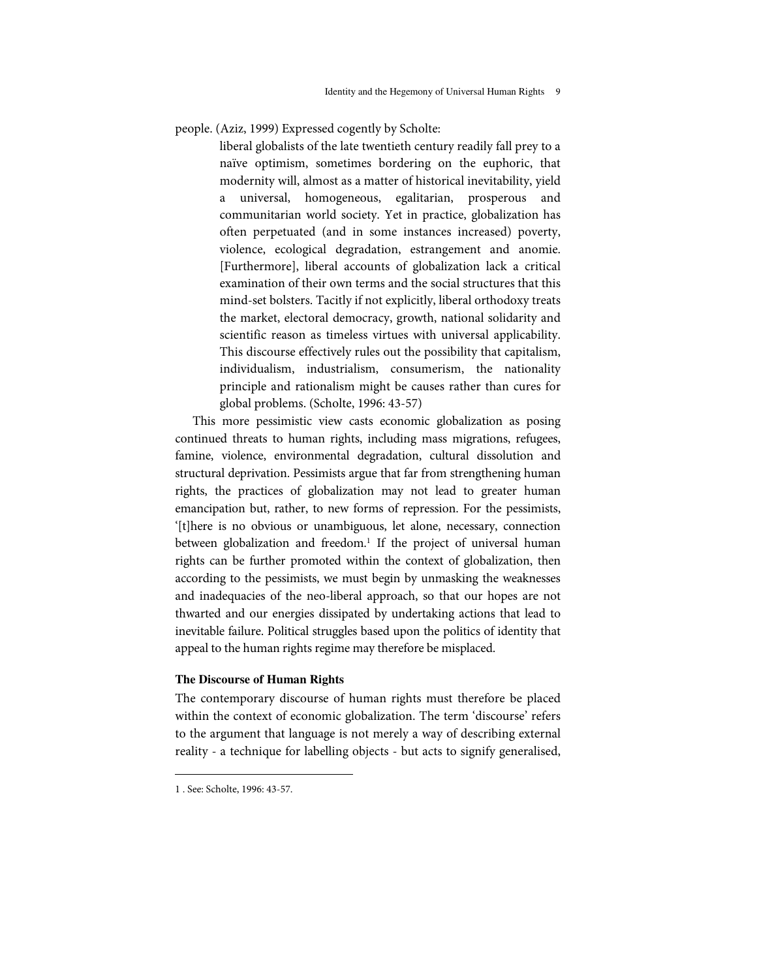people. (Aziz, 1999) Expressed cogently by Scholte:

liberal globalists of the late twentieth century readily fall prey to a naïve optimism, sometimes bordering on the euphoric, that modernity will, almost as a matter of historical inevitability, yield a universal, homogeneous, egalitarian, prosperous and communitarian world society. Yet in practice, globalization has often perpetuated (and in some instances increased) poverty, violence, ecological degradation, estrangement and anomie. [Furthermore], liberal accounts of globalization lack a critical examination of their own terms and the social structures that this mind-set bolsters. Tacitly if not explicitly, liberal orthodoxy treats the market, electoral democracy, growth, national solidarity and scientific reason as timeless virtues with universal applicability. This discourse effectively rules out the possibility that capitalism, individualism, industrialism, consumerism, the nationality principle and rationalism might be causes rather than cures for global problems. (Scholte, 1996: 43-57)

This more pessimistic view casts economic globalization as posing continued threats to human rights, including mass migrations, refugees, famine, violence, environmental degradation, cultural dissolution and structural deprivation. Pessimists argue that far from strengthening human rights, the practices of globalization may not lead to greater human emancipation but, rather, to new forms of repression. For the pessimists, '[t]here is no obvious or unambiguous, let alone, necessary, connection between globalization and freedom.<sup>1</sup> If the project of universal human rights can be further promoted within the context of globalization, then according to the pessimists, we must begin by unmasking the weaknesses and inadequacies of the neo-liberal approach, so that our hopes are not thw arted and our energies dissipated by undertaking actions that lead to inevitable failure. Political struggles based upon the politics of identity that appeal to the human rights regime may therefore be misplaced.

# **The Discourse of Human Rights**

The contemporary discourse of human rights must therefore be placed within the context of economic globalization. The term 'discourse' refers to the argument that language is not merely a way of describing external reality - a technique for labelling objects - but acts to signify generalised,

<sup>1</sup> . See: Scholte, 1996: 43-57.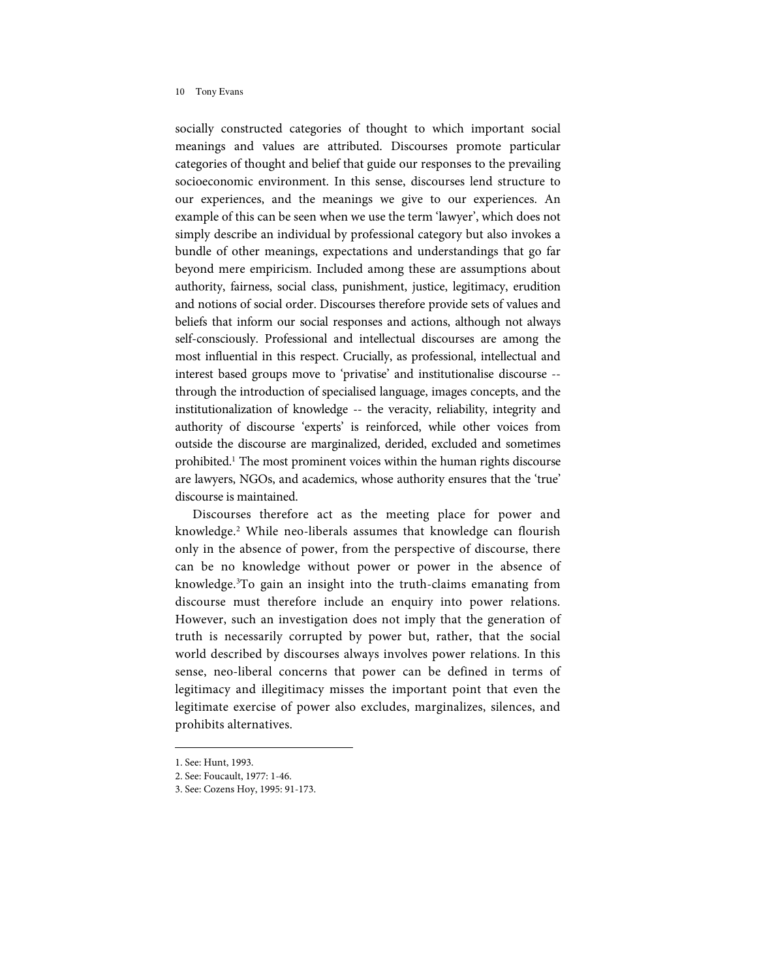socially constructed categories of thought to which important social meanings and values are attributed. Discourses promote particular categories of thought and belief that guide our responses to the prevailing socioeconomic environment. In this sense, discourses lend structure to our experiences, and the meanings we give to our experiences. An example of this can be seen when we use the term 'lawyer', which does not simply describe an individual by professional category but also invokes a bundle of other meanings, expectations and understandings that go far beyond mere empiricism. Included among these are assumptions about authority, fairness, social class, punishment, justice, legitimacy, erudition and notions of social order. Discourses therefore provide sets of values and beliefs that inform our social responses and actions, although not always self-consciously. Professional and intellectual discourses are among the most influential in this respect. Crucially, as professional, intellectual and interest based groups move to 'privatise' and institutionalise discourse - through the introduction of specialised language, images concepts, and the institutionalization of knowledge -- the veracity, reliability, integrity and authority of discourse 'experts' is reinforced, while other voices from outside the discourse are marginalized, derided, excluded and sometimes prohibited.<sup>1</sup> The most prominent voices within the human rights discourse are lawyers, NGOs, and academics, whose authority ensures that the 'true' discourse is maintained.

Discourses therefore act as the meeting place for power and knowledge.<sup>2</sup> While neo-liberals assumes that knowledge can flourish only in the absence of power, from the perspective of discourse, there can be no knowledge without power or power in the absence of know ledge. <sup>3</sup>To gain an insight into the truth-claims emanating from discourse must therefore include an enquiry into power relations. However, such an investigation does not imply that the generation of truth is necessarily corrupted by power but, rather, that the social world described by discourses always involves power relations. In this sense, neo-liberal concerns that power can be defined in terms of legitimacy and illegitimacy misses the important point that even the legitimate exercise of power also excludes, marginalizes, silences, and prohibits alternatives.

<sup>1.</sup> See: Hunt, 1993.

<sup>2.</sup> See: Foucault, 1977: 1-46.

<sup>3.</sup> See: Cozens Hoy, 1995: 91-173.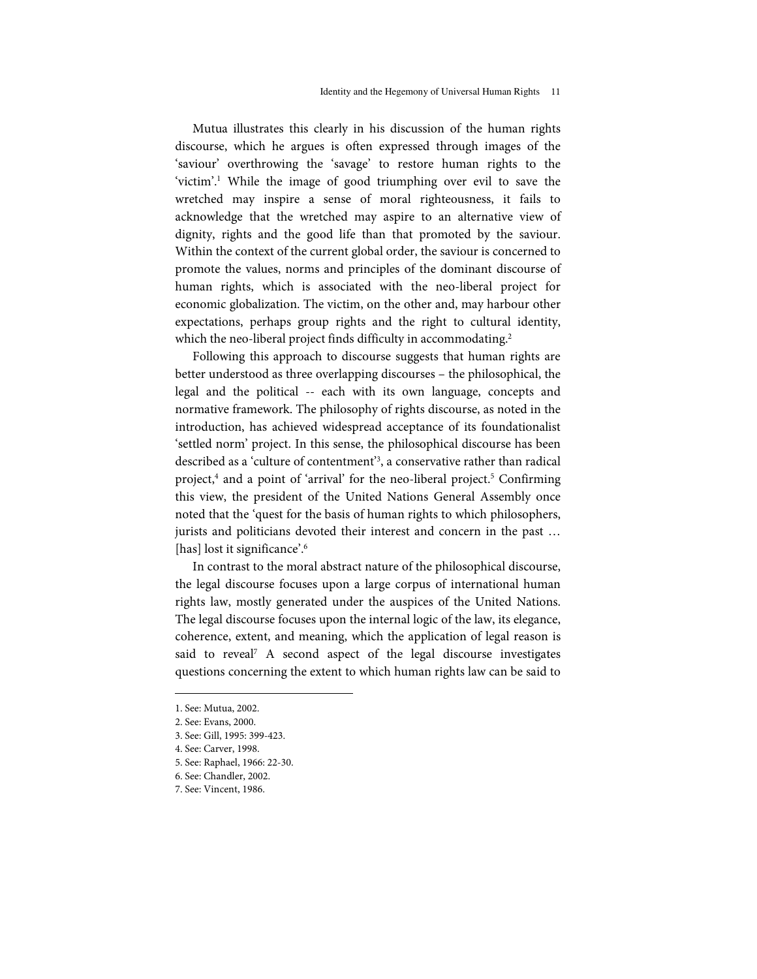Mutua illustrates this clearly in his discussion of the human rights discourse, w hich he argues is often expressed through images of the 'saviour' overthrowing the 'savage' to restore human rights to the 'victim'. <sup>1</sup> While the image of good triumphing over evil to save the w retched may inspire a sense of moral righteousness, it fails to acknowledge that the wretched may aspire to an alternative view of dignity, rights and the good life than that promoted by the saviour. Within the context of the current global order, the saviour is concerned to promote the values, norms and principles of the dominant discourse of human rights, which is associated with the neo-liberal project for economic globalization. The victim, on the other and, may harbour other expectations, perhaps group rights and the right to cultural identity, which the neo-liberal project finds difficulty in accommodating.<sup>2</sup>

Following this approach to discourse suggests that human rights are better understood as three overlapping discourses – the philosophical, the legal and the political -- each with its own language, concepts and normative framework. The philosophy of rights discourse, as noted in the introduction, has achieved widespread acceptance of its foundationalist 'settled norm' project. In this sense, the philosophical discourse has been described as a 'culture of contentment' 3 , a conservative rather than radical project,<sup>4</sup> and a point of 'arrival' for the neo-liberal project.<sup>5</sup> Confirming this view, the president of the United Nations General Assembly once noted that the 'quest for the basis of human rights to which philosophers, jurists and politicians devoted their interest and concern in the past … [has] lost it significance'.<sup>6</sup>

In contrast to the moral abstract nature of the philosophical discourse, the legal discourse focuses upon a large corpus of international human rights law, mostly generated under the auspices of the United Nations. The legal discourse focuses upon the internal logic of the law, its elegance, coherence, extent, and meaning, which the application of legal reason is said to reveal <sup>7</sup> A second aspect of the legal discourse investigates questions concerning the extent to which human rights law can be said to

- 6. See: Chandler, 2002.
- 7. See: Vincent, 1986.

<sup>1.</sup> See: Mutua, 2002.

<sup>2.</sup> See: Evans, 2000.

<sup>3.</sup> See: Gill, 1995: 399-423.

<sup>4.</sup> See: Carver, 1998.

<sup>5.</sup> See: Raphael, 1966: 22-30.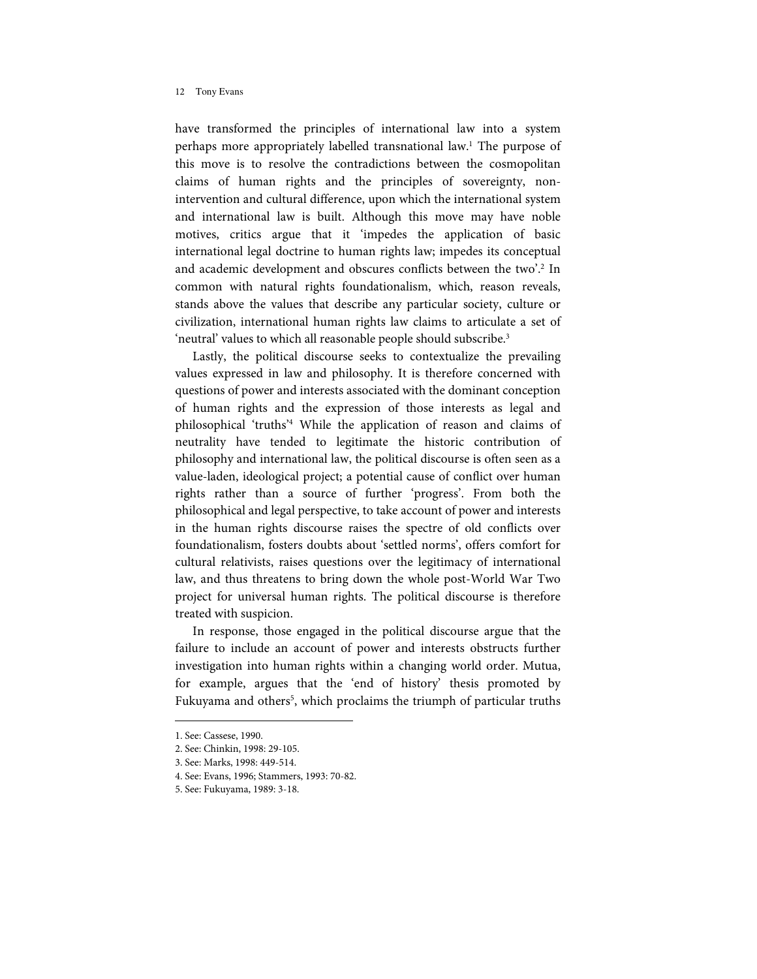have transformed the principles of international law into a system perhaps more appropriately labelled transnational law.<sup>1</sup> The purpose of this move is to resolve the contradictions between the cosmopolitan claims of human rights and the principles of sovereignty, nonintervention and cultural difference, upon which the international system and international law is built. Although this move may have noble motives, critics argue that it 'impedes the application of basic international legal doctrine to human rights law; impedes its conceptual and academic development and obscures conflicts between the two'.<sup>2</sup> In common with natural rights foundationalism, which, reason reveals, stands above the values that describe any particular society, culture or civilization, international human rights law claims to articulate a set of 'neutral' values to which all reasonable people should subscribe.<sup>3</sup>

Lastly, the political discourse seeks to contextualize the prevailing values expressed in law and philosophy. It is therefore concerned with questions of power and interests associated with the dominant conception of human rights and the expression of those interests as legal and philosophical 'truths' <sup>4</sup> While the application of reason and claims of neutrality have tended to legitimate the historic contribution of philosophy and international law, the political discourse is often seen as a value-laden, ideological project; a potential cause of conflict over human rights rather than a source of further 'progress'. From both the philosophical and legal perspective, to take account of power and interests in the human rights discourse raises the spectre of old conflicts over foundationalism, fosters doubts about 'settled norms', offers comfort for cultural relativists, raises questions over the legitimacy of international law, and thus threatens to bring down the whole post-World War Two project for universal human rights. The political discourse is therefore treated with suspicion.

In response, those engaged in the political discourse argue that the failure to include an account of power and interests obstructs further investigation into human rights within a changing world order. Mutua, for example, argues that the 'end of history' thesis promoted by Fukuyama and others<sup>5</sup>, which proclaims the triumph of particular truths

<sup>1.</sup> See: Cassese, 1990.

<sup>2.</sup> See: Chinkin, 1998: 29-105.

<sup>3.</sup> See: Marks, 1998: 449-514.

<sup>4.</sup> See: Evans, 1996; Stammers, 1993: 70-82.

<sup>5.</sup> See: Fukuyama, 1989: 3-18.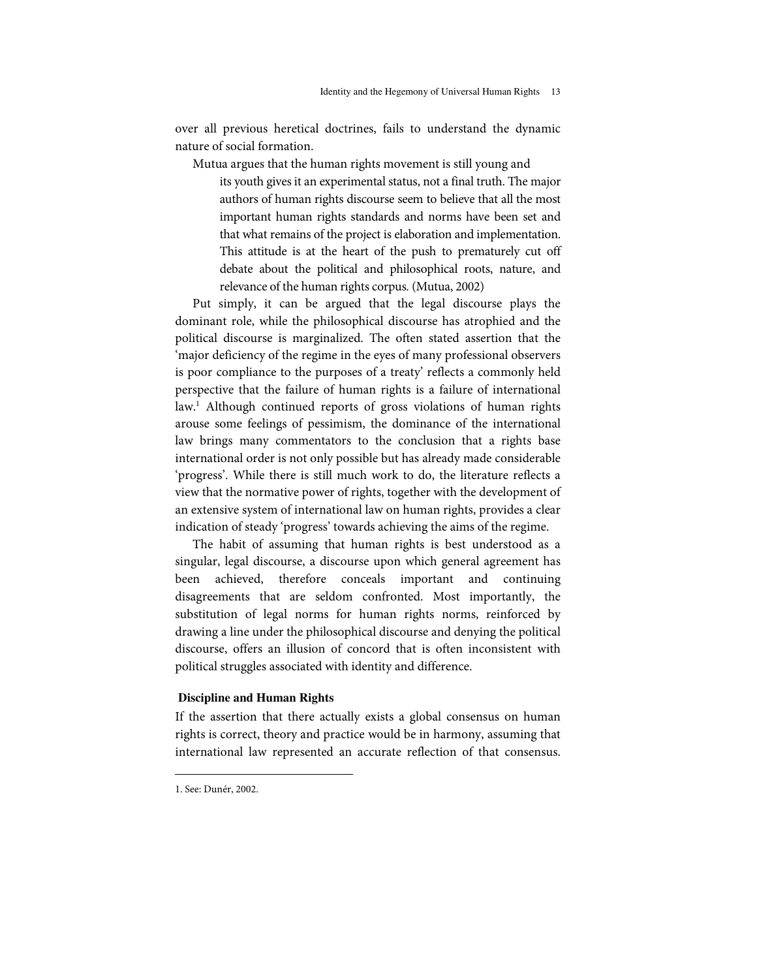over all previous heretical doctrines, fails to understand the dynamic nature of social formation.

Mutua argues that the human rights movement is still young and

its youth gives it an experimental status, not a final truth. The major authors of human rights discourse seem to believe that all the most important human rights standards and norms have been set and that what remains of the project is elaboration and implementation. This attitude is at the heart of the push to prematurely cut off debate about the political and philosophical roots, nature, and relevance of the human rights corpus. (Mutua, 2002)

Put simply, it can be argued that the legal discourse plays the dominant role, while the philosophical discourse has atrophied and the political discourse is marginalized. The often stated assertion that the 'major deficiency of the regime in the eyes of many professional observers is poor compliance to the purposes of a treaty' reflects a commonly held perspective that the failure of human rights is a failure of international law.<sup>1</sup> Although continued reports of gross violations of human rights arouse some feelings of pessimism, the dominance of the international law brings many commentators to the conclusion that a rights base international order is not only possible but has already made considerable 'progress'. While there is still much work to do, the literature reflects a view that the normative power of rights, together with the development of an extensive system of international law on human rights, provides a clear indication of steady 'progress' towards achieving the aims of the regime.

The habit of assuming that human rights is best understood as a singular, legal discourse, a discourse upon which general agreement has been achieved, therefore conceals important and continuing disagreements that are seldom confronted. Most importantly, the substitution of legal norms for human rights norms, reinforced by drawing a line under the philosophical discourse and denying the political discourse, offers an illusion of concord that is often inconsistent with political struggles associated with identity and difference.

# **Discipline and Human Rights**

If the assertion that there actually exists a global consensus on human rights is correct, theory and practice would be in harmony, assuming that international law represented an accurate reflection of that consensus.

<sup>1.</sup> See: Dunér, 2002.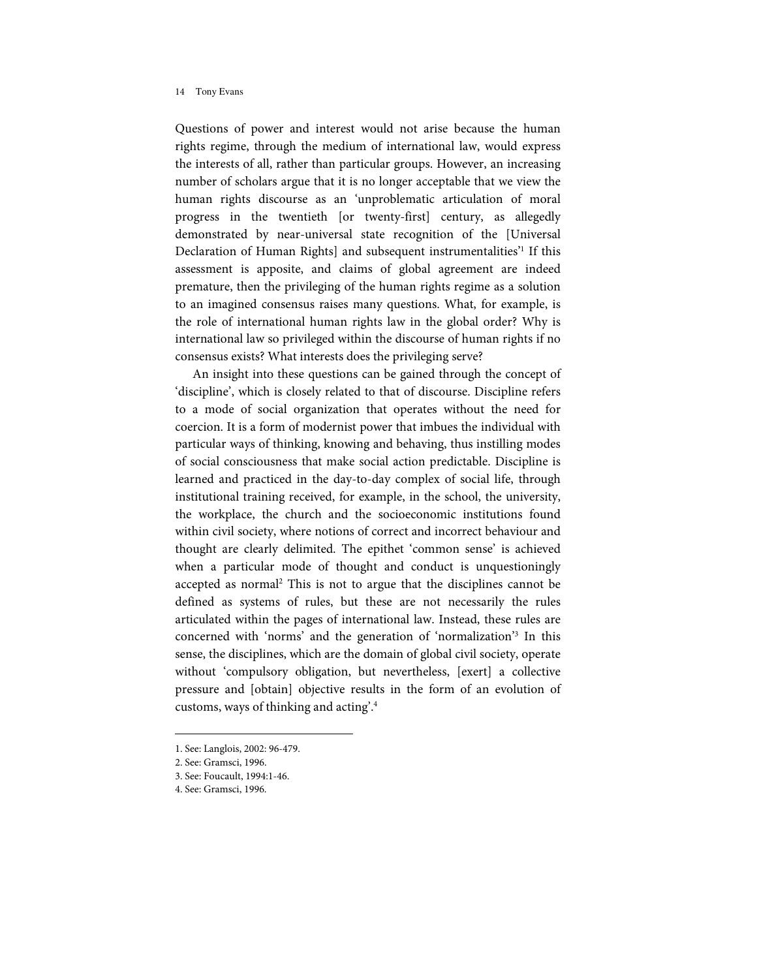Questions of power and interest would not arise because the human rights regime, through the medium of international law, would express the interests of all, rather than particular groups. However, an increasing number of scholars argue that it is no longer acceptable that we view the human rights discourse as an 'unproblematic articulation of moral progress in the twentieth [or twenty-first] century, as allegedly demonstrated by near-universal state recognition of the [Universal Declaration of Human Rights] and subsequent instrumentalities<sup>21</sup> If this assessment is apposite, and claims of global agreement are indeed premature, then the privileging of the human rights regime as a solution to an imagined consensus raises many questions. What, for example, is the role of international human rights law in the global order? Why is international law so privileged within the discourse of human rights if no consensus exists? What interests does the privileging serve?

An insight into these questions can be gained through the concept of 'discipline', which is closely related to that of discourse. Discipline refers to a mode of social organization that operates without the need for coercion. It is a form of modernist power that imbues the individual with particular ways of thinking, knowing and behaving, thus instilling modes of social consciousness that make social action predictable. Discipline is learned and practiced in the day-to-day complex of social life, through institutional training received, for example, in the school, the university, the workplace, the church and the socioeconomic institutions found within civil society, where notions of correct and incorrect behaviour and thought are clearly delimited. The epithet 'common sense' is achieved when a particular mode of thought and conduct is unquestioningly accepted as normal <sup>2</sup> This is not to argue that the disciplines cannot be defined as systems of rules, but these are not necessarily the rules articulated within the pages of international law. Instead, these rules are concerned with 'norms' and the generation of 'normalization'<sup>3</sup> In this sense, the disciplines, which are the domain of global civil society, operate without 'compulsory obligation, but nevertheless, [exert] a collective pressure and [obtain] objective results in the form of an evolution of customs, ways of thinking and acting'.<sup>4</sup>

2. See: Gramsci, 1996.

l

4. See: Gramsci, 1996.

<sup>1.</sup> See: Langlois, 2002: 96-479.

<sup>3.</sup> See: Foucault, 1994:1-46.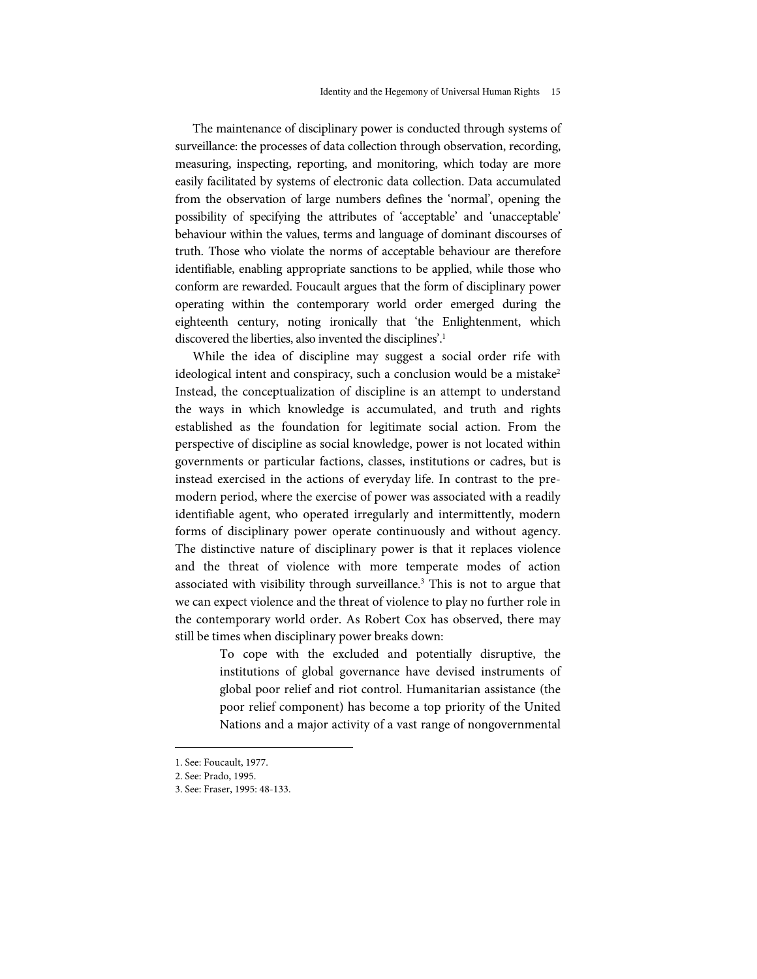The maintenance of disciplinary power is conducted through systems of surveillance: the processes of data collection through observation, recording, measuring, inspecting, reporting, and monitoring, which today are more easily facilitated by systems of electronic data collection. Data accumulated from the observation of large numbers defines the 'normal', opening the possibility of specifying the attributes of 'acceptable' and 'unacceptable' behaviour within the values, terms and language of dominant discourses of truth. Those who violate the norms of acceptable behaviour are therefore identifiable, enabling appropriate sanctions to be applied, while those who conform are rewarded. Foucault argues that the form of disciplinary power operating within the contemporary world order emerged during the eighteenth century, noting ironically that 'the Enlightenment, which discovered the liberties, also invented the disciplines'. 1

While the idea of discipline may suggest a social order rife with ideological intent and conspiracy, such a conclusion would be a mistake<sup>2</sup> Instead, the conceptualization of discipline is an attempt to understand the ways in which knowledge is accumulated, and truth and rights established as the foundation for legitimate social action. From the perspective of discipline as social knowledge, power is not located within governments or particular factions, classes, institutions or cadres, but is instead exercised in the actions of everyday life. In contrast to the premodern period, where the exercise of power was associated with a readily identifiable agent, who operated irregularly and intermittently, modern forms of disciplinary power operate continuously and without agency. The distinctive nature of disciplinary power is that it replaces violence and the threat of violence with more temperate modes of action associated with visibility through surveillance.<sup>3</sup> This is not to argue that we can expect violence and the threat of violence to play no further role in the contemporary world order. As Robert Cox has observed, there may still be times when disciplinary power breaks down:

> To cope with the excluded and potentially disruptive, the institutions of global governance have devised instruments of global poor relief and riot control. Humanitarian assistance (the poor relief component) has become a top priority of the United Nations and a major activity of a vast range of nongovernmental

<sup>1.</sup> See: Foucault, 1977.

<sup>2.</sup> See: Prado, 1995.

<sup>3.</sup> See: Fraser, 1995: 48-133.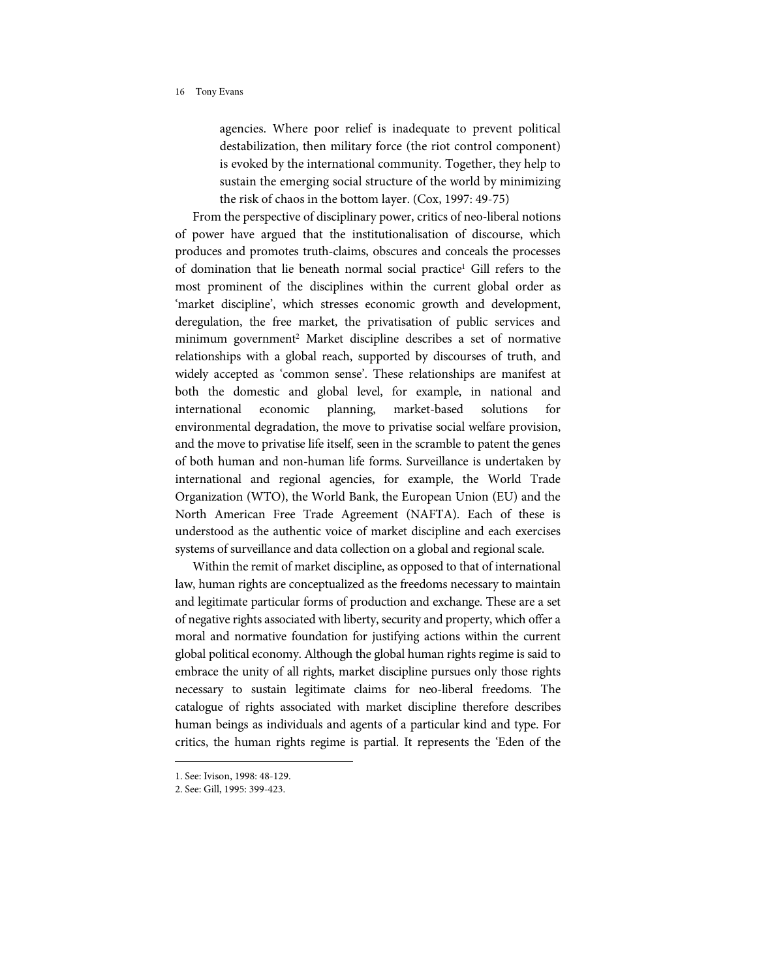agencies. Where poor relief is inadequate to prevent political destabilization, then military force (the riot control component) is evoked by the international community. Together, they help to sustain the emerging social structure of the world by minimizing the risk of chaos in the bottom layer. (Cox, 1997: 49-75)

From the perspective of disciplinary power, critics of neo-liberal notions of power have argued that the institutionalisation of discourse, which produces and promotes truth-claims, obscures and conceals the processes of domination that lie beneath normal social practice <sup>1</sup> Gill refers to the most prominent of the disciplines within the current global order as 'market discipline', which stresses economic growth and development, deregulation, the free market, the privatisation of public services and minimum government <sup>2</sup> Market discipline describes a set of normative relationships with a global reach, supported by discourses of truth, and widely accepted as 'common sense'. These relationships are manifest at both the domestic and global level, for example, in national and international economic planning, market-based solutions for environmental degradation, the move to privatise social welfare provision, and the move to privatise life itself, seen in the scramble to patent the genes of both human and non-human life forms. Surveillance is undertaken by international and regional agencies, for example, the World Trade Organization (WTO), the World Bank, the European Union (EU) and the North American Free Trade Agreement (NAFTA). Each of these is understood as the authentic voice of market discipline and each exercises systems of surveillance and data collection on a global and regional scale.

Within the remit of market discipline, as opposed to that of international law, human rights are conceptualized as the freedoms necessary to maintain and legitimate particular forms of production and exchange. These are a set of negative rights associated with liberty, security and property, which offer a moral and normative foundation for justifying actions within the current global political economy. Although the global human rights regime is said to embrace the unity of all rights, market discipline pursues only those rights necessary to sustain legitimate claims for neo-liberal freedoms. The catalogue of rights associated with market discipline therefore describes human beings as individuals and agents of a particular kind and type. For critics, the human rights regime is partial. It represents the 'Eden of the

<sup>1.</sup> See: Ivison, 1998: 48-129.

<sup>2.</sup> See: Gill, 1995: 399-423.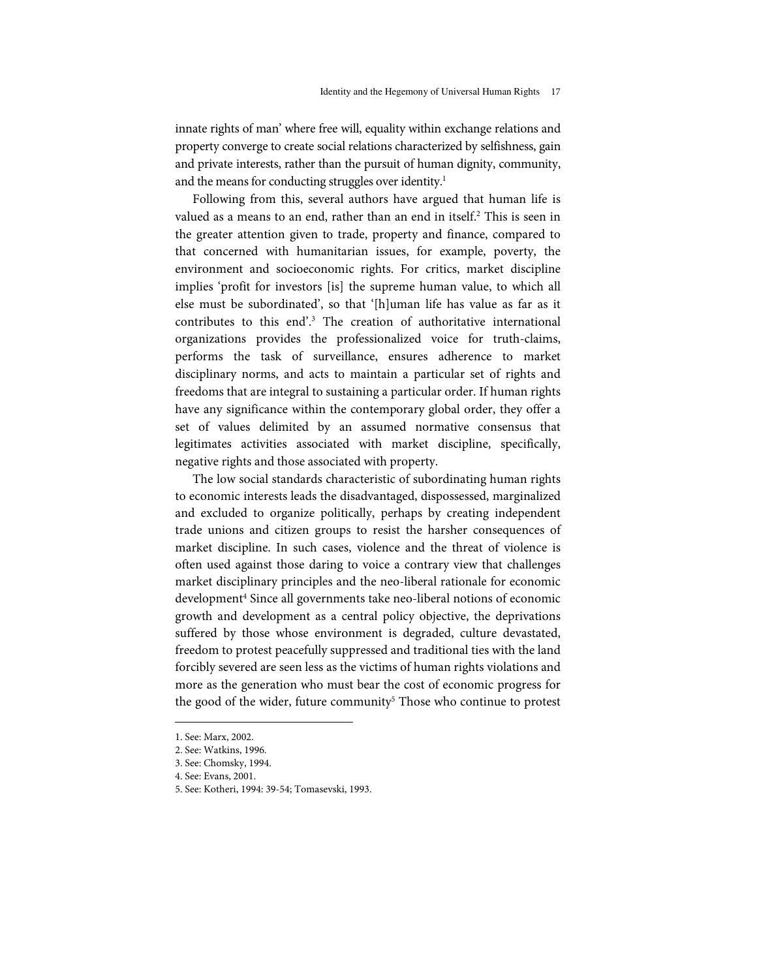innate rights of man' where free will, equality within exchange relations and property converge to create social relations characterized by selfishness, gain and private interests, rather than the pursuit of human dignity, community, and the means for conducting struggles over identity. 1

Following from this, several authors have argued that human life is valued as a means to an end, rather than an end in itself. <sup>2</sup> This is seen in the greater attention given to trade, property and finance, compared to that concerned with humanitarian issues, for example, poverty, the environment and socioeconomic rights. For critics, market discipline implies 'profit for investors [is] the supreme human value, to which all else must be subordinated', so that '[h]uman life has value as far as it contributes to this end'. <sup>3</sup> The creation of authoritative international organizations provides the professionalized voice for truth-claims, performs the task of surveillance, ensures adherence to market disciplinary norms, and acts to maintain a particular set of rights and freedoms that are integral to sustaining a particular order. If human rights have any significance within the contemporary global order, they offer a set of values delimited by an assumed normative consensus that legitimates activities associated with market discipline, specifically, negative rights and those associated with property.

The low social standards characteristic of subordinating human rights to economic interests leads the disadvantaged, dispossessed, marginalized and excluded to organize politically, perhaps by creating independent trade unions and citizen groups to resist the harsher consequences of market discipline. In such cases, violence and the threat of violence is often used against those daring to voice a contrary view that challenges market disciplinary principles and the neo-liberal rationale for economic development<sup>4</sup> Since all governments take neo-liberal notions of economic growth and development as a central policy objective, the deprivations suffered by those whose environment is degraded, culture devastated, freedom to protest peacefully suppressed and traditional ties with the land forcibly severed are seen less as the victims of human rights violations and more as the generation who must bear the cost of economic progress for the good of the wider, future community<sup>5</sup> Those who continue to protest

j

<sup>1.</sup> See: Marx, 2002.

<sup>2.</sup> See: Watkins, 1996.

<sup>3.</sup> See: Chomsky, 1994.

<sup>4.</sup> See: Evans, 2001.

<sup>5.</sup> See: Kotheri, 1994: 39-54; Tomasevski, 1993.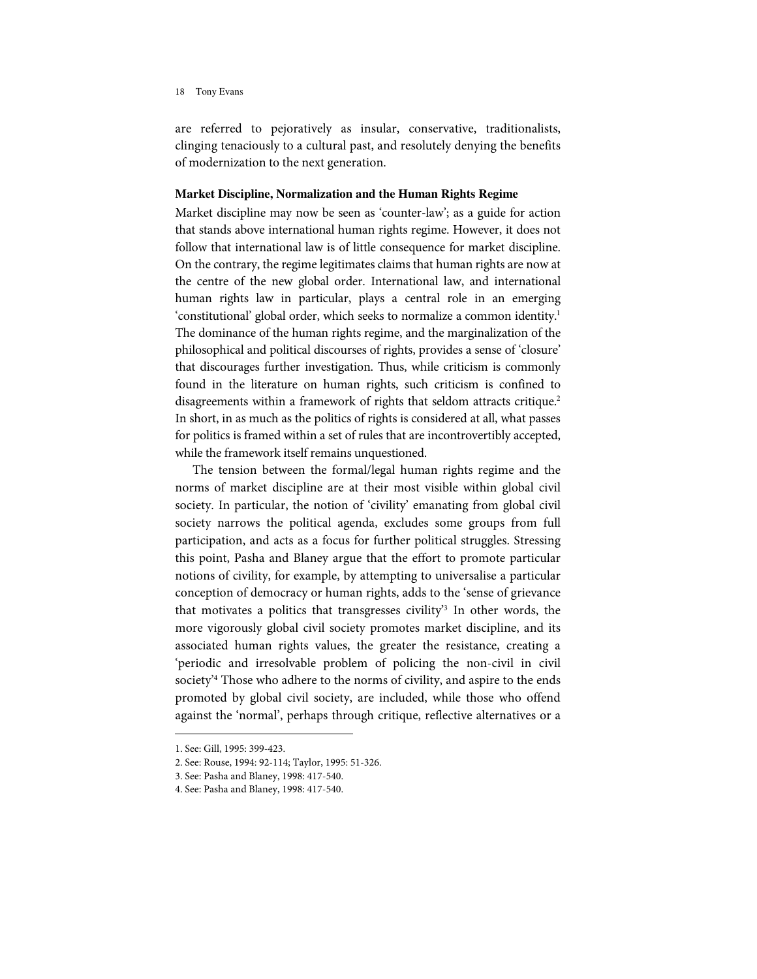are referred to pejoratively as insular, conservative, traditionalists, clinging tenaciously to a cultural past, and resolutely denying the benefits of modernization to the next generation.

### **Market Discipline, Normalization and the Human Rights Regime**

Market discipline may now be seen as 'counter-law'; as a guide for action that stands above international human rights regime. However, it does not follow that international law is of little consequence for market discipline. On the contrary, the regime legitimates claims that human rights are now at the centre of the new global order. International law, and international human rights law in particular, plays a central role in an emerging 'constitutional' global order, which seeks to normalize a common identity.<sup>1</sup> The dominance of the human rights regime, and the marginalization of the philosophical and political discourses of rights, provides a sense of 'closure' that discourages further investigation. Thus, while criticism is commonly found in the literature on human rights, such criticism is confined to disagreements within a framework of rights that seldom attracts critique.<sup>2</sup> In short, in as much as the politics of rights is considered at all, what passes for politics is framed within a set of rules that are incontrovertibly accepted, while the framework itself remains unquestioned.

The tension between the formal/legal human rights regime and the norms of market discipline are at their most visible within global civil society. In particular, the notion of 'civility' emanating from global civil society narrows the political agenda, excludes some groups from full participation, and acts as a focus for further political struggles. Stressing this point, Pasha and Blaney argue that the effort to promote particular notions of civility, for example, by attempting to universalise a particular conception of democracy or human rights, adds to the 'sense of grievance that motivates a politics that transgresses civility<sup>3</sup> In other words, the more vigorously global civil society promotes market discipline, and its associated human rights values, the greater the resistance, creating a 'periodic and irresolvable problem of policing the non-civil in civil society<sup>24</sup> Those who adhere to the norms of civility, and aspire to the ends promoted by global civil society, are included, while those who offend against the 'normal', perhaps through critique, reflective alternatives or a

<sup>1.</sup> See: Gill, 1995: 399-423.

<sup>2.</sup> See: Rouse, 1994: 92-114; Taylor, 1995: 51-326.

<sup>3.</sup> See: Pasha and Blaney, 1998: 417-540.

<sup>4.</sup> See: Pasha and Blaney, 1998: 417-540.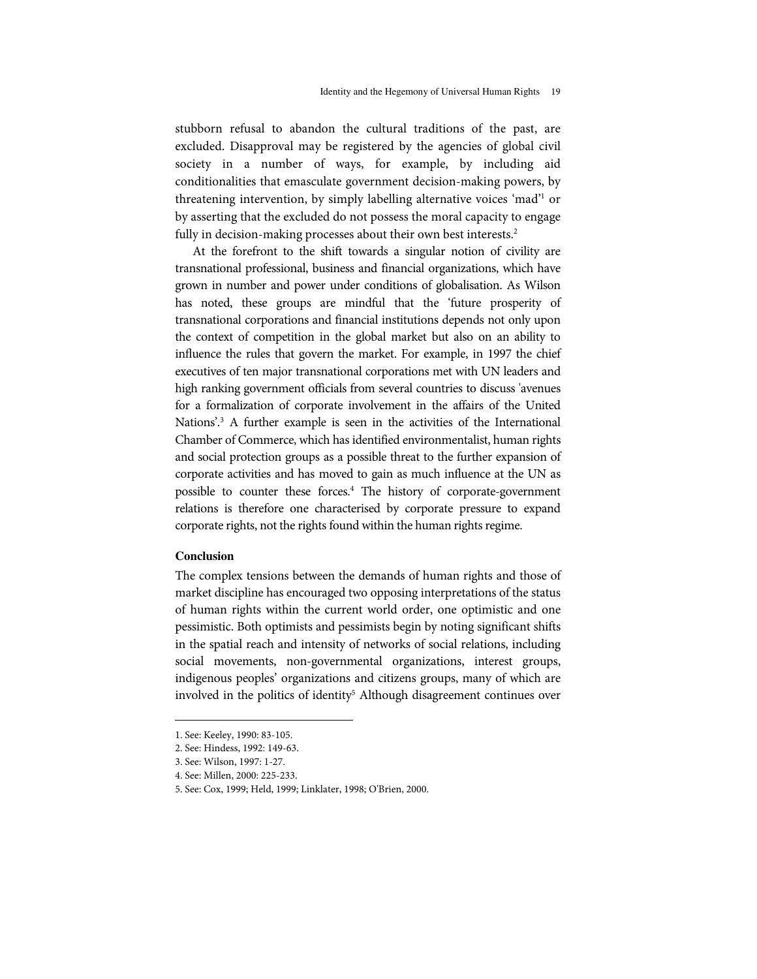stubborn refusal to abandon the cultural traditions of the past, are excluded. Disapproval may be registered by the agencies of global civil society in a number of ways, for example, by including aid conditionalities that emasculate government decision-making powers, by threatening intervention, by simply labelling alternative voices 'mad' <sup>1</sup> or by asserting that the excluded do not possess the moral capacity to engage fully in decision-making processes about their own best interests.<sup>2</sup>

At the forefront to the shift towards a singular notion of civility are transnational professional, business and financial organizations, which have grown in number and power under conditions of globalisation. As Wilson has noted, these groups are mindful that the 'future prosperity of transnational corporations and financial institutions depends not only upon the context of competition in the global market but also on an ability to influence the rules that govern the market. For example, in 1997 the chief executives of ten major transnational corporations met with UN leaders and high ranking government officials from several countries to discuss 'avenues for a formalization of corporate involvement in the affairs of the United Nations'.<sup>3</sup> A further example is seen in the activities of the International Chamber of Commerce, which has identified environmentalist, human rights and social protection groups as a possible threat to the further expansion of corporate activities and has moved to gain as much influence at the UN as possible to counter these forces. <sup>4</sup> The history of corporate-government relations is therefore one characterised by corporate pressure to expand corporate rights, not the rights found within the human rights regime.

# **Conclusion**

j

The complex tensions between the demands of human rights and those of market discipline has encouraged two opposing interpretations of the status of human rights within the current world order, one optimistic and one pessimistic. Both optimists and pessimists begin by noting significant shifts in the spatial reach and intensity of networks of social relations, including social movements, non-governmental organizations, interest groups, indigenous peoples' organizations and citizens groups, many of which are involved in the politics of identity <sup>5</sup> Although disagreement continues over

<sup>1.</sup> See: Keeley, 1990: 83-105.

<sup>2.</sup> See: Hindess, 1992: 149-63.

<sup>3.</sup> See: Wilson, 1997: 1-27.

<sup>4.</sup> See: Millen, 2000: 225-233.

<sup>5.</sup> See: Cox, 1999; Held, 1999; Linklater, 1998; O'Brien, 2000.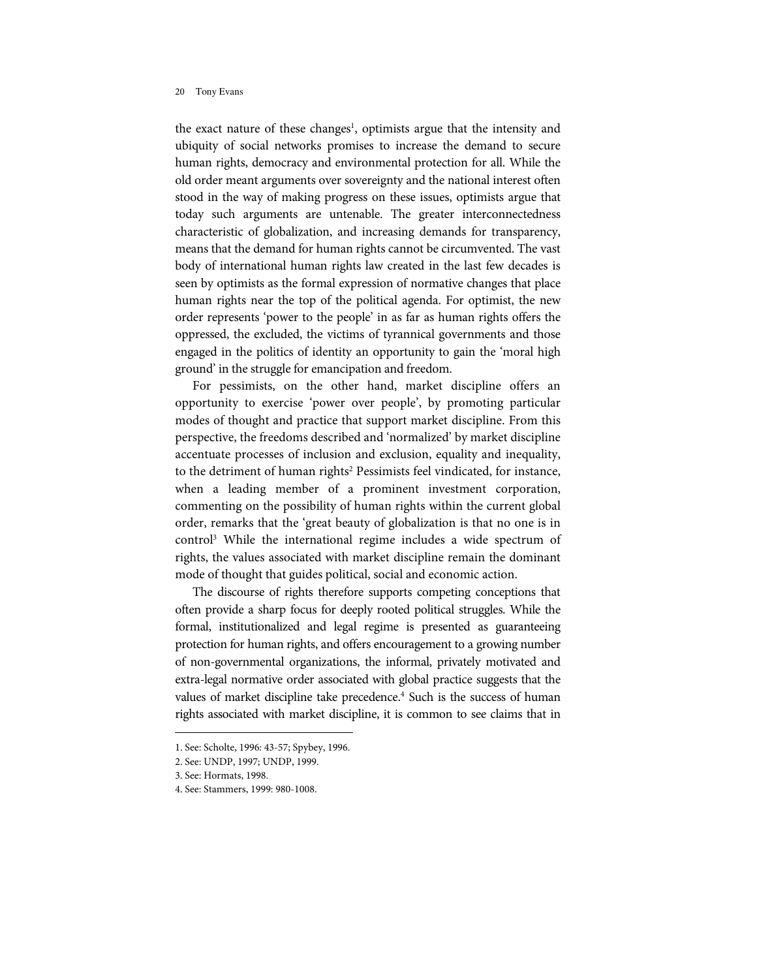the exact nature of these changes<sup>1</sup>, optimists argue that the intensity and ubiquity of social networks promises to increase the demand to secure human rights, democracy and environmental protection for all. While the old order meant arguments over sovereignty and the national interest often stood in the way of making progress on these issues, optimists argue that today such arguments are untenable. The greater interconnectedness characteristic of globalization, and increasing demands for transparency, means that the demand for human rights cannot be circumvented. The vast body of international human rights law created in the last few decades is seen by optimists as the formal expression of normative changes that place human rights near the top of the political agenda. For optimist, the new order represents 'power to the people' in as far as human rights offers the oppressed, the excluded, the victims of tyrannical governments and those engaged in the politics of identity an opportunity to gain the 'moral high ground' in the struggle for emancipation and freedom.

For pessimists, on the other hand, market discipline offers an opportunity to exercise 'power over people', by promoting particular modes of thought and practice that support market discipline. From this perspective, the freedoms described and 'normalized' by market discipline accentuate processes of inclusion and exclusion, equality and inequality, to the detriment of human rights<sup>2</sup> Pessimists feel vindicated, for instance, when a leading member of a prominent investment corporation, commenting on the possibility of human rights within the current global order, remarks that the 'great beauty of globalization is that no one is in control<sup>3</sup> While the international regime includes a wide spectrum of rights, the values associated with market discipline remain the dominant mode of thought that guides political, socialand economic action.

The discourse of rights therefore supports competing conceptions that often provide a sharp focus for deeply rooted political struggles. While the formal, institutionalized and legal regime is presented as guaranteeing protection for human rights, and offers encouragement to a growing number of non-governmental organizations, the informal, privately motivated and extra-legal normative order associated with global practice suggests that the values of market discipline take precedence. <sup>4</sup> Such is the success of human rights associated with market discipline, it is common to see claims that in

j

<sup>1.</sup> See: Scholte, 1996: 43-57; Spybey, 1996.

<sup>2.</sup> See: UNDP, 1997; UNDP, 1999.

<sup>3.</sup> See: Hormats, 1998.

<sup>4.</sup> See: Stammers, 1999: 980-1008.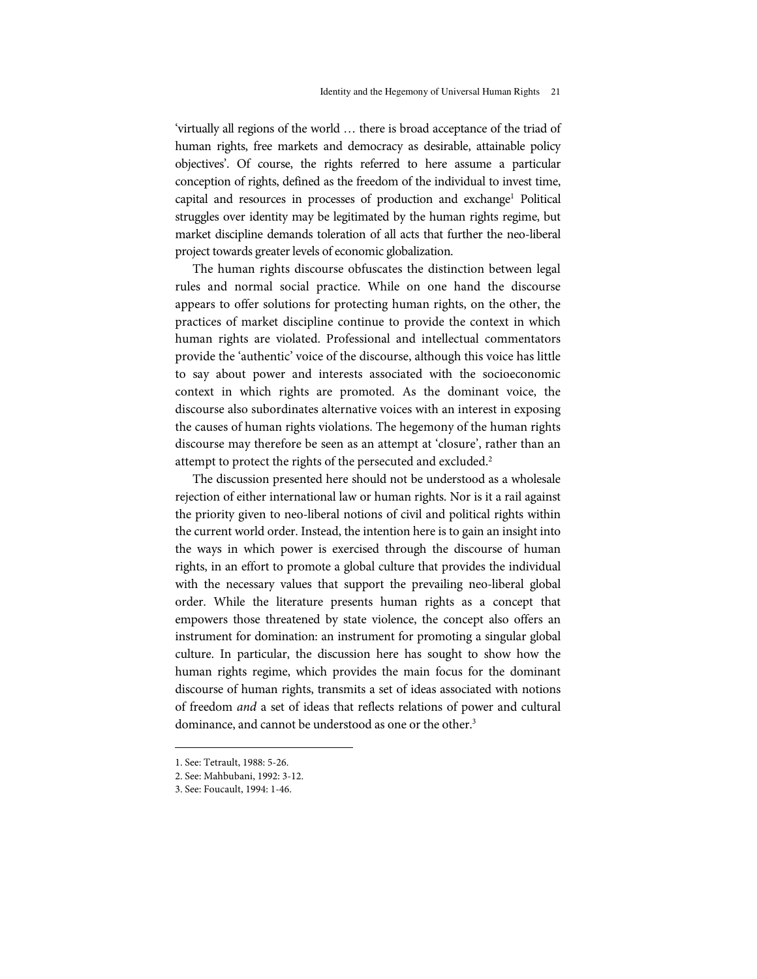'virtually all regions of the world ... there is broad acceptance of the triad of human rights, free markets and democracy as desirable, attainable policy objectives'. Of course, the rights referred to here assume a particular conception of rights, defined as the freedom of the individual to invest time, capital and resources in processes of production and exchange <sup>1</sup> Political struggles over identity may be legitimated by the human rights regime, but market discipline demands toleration of allacts that further the neo-liberal project towards greater levels of economic globalization.

The human rights discourse obfuscates the distinction between legal rules and normal social practice. While on one hand the discourse appears to offer solutions for protecting human rights, on the other, the practices of market discipline continue to provide the context in which human rights are violated. Professional and intellectual commentators provide the 'authentic' voice of the discourse, although this voice has little to say about power and interests associated with the socioeconomic context in which rights are promoted. As the dominant voice, the discourse also subordinates alternative voices with an interest in exposing the causes of human rights violations. The hegemony of the human rights discourse may therefore be seen as an attempt at 'closure', rather than an attempt to protect the rights of the persecuted and excluded.<sup>2</sup>

The discussion presented here should not be understood as a wholesale rejection of either international law or human rights. Nor is it a rail against the priority given to neo-liberal notions of civil and political rights within the current world order. Instead, the intention here is to gain an insight into the ways in which power is exercised through the discourse of human rights, in an effort to promote a global culture that provides the individual with the necessary values that support the prevailing neo-liberal global order. While the literature presents human rights as a concept that empowers those threatened by state violence, the concept also offers an instrument for domination: an instrument for promoting a singular global culture. In particular, the discussion here has sought to show how the human rights regime, which provides the main focus for the dominant discourse of human rights, transmits a set of ideas associated with notions of freedom and a set of ideas that reflects relations of power and cultural dominance, and cannot be understood as one or the other. 3

<sup>1.</sup> See: Tetrault, 1988: 5-26.

<sup>2.</sup> See: Mahbubani, 1992: 3-12.

<sup>3.</sup> See: Foucault, 1994: 1-46.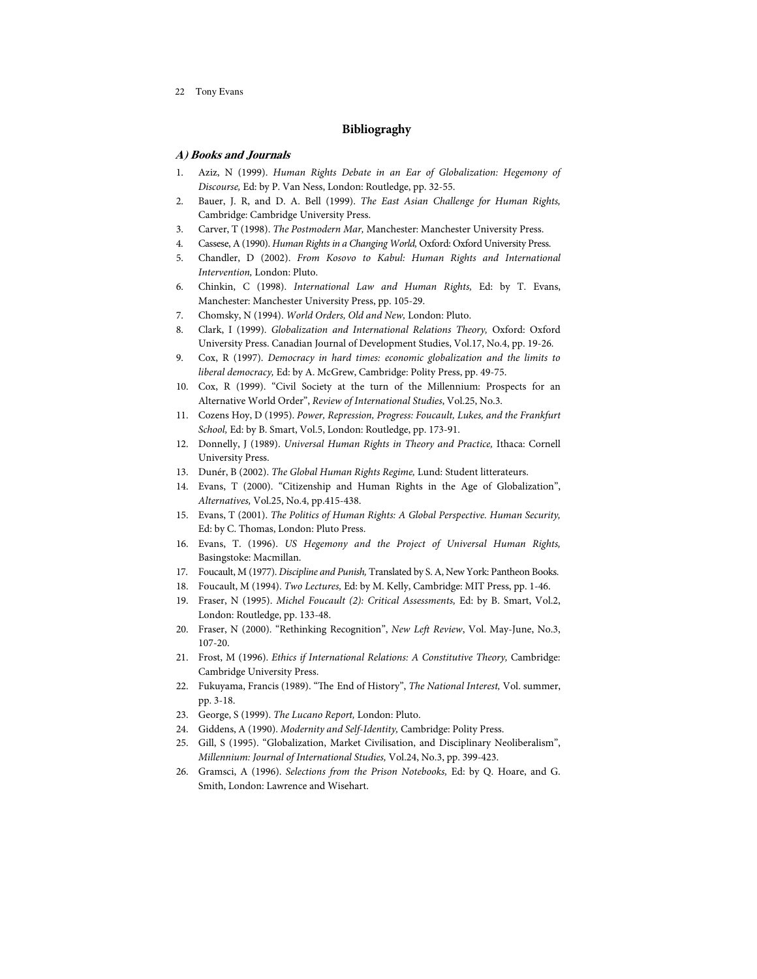# **B ibliograghy**

# **A) Books and Journals**

- 1. Aziz, N (1999). Human Rights Debate in an Ear of Globalization: Hegemony of Discourse, Ed: by P. Van Ness, London: Routledge, pp. 32-55.
- 2. Bauer, J. R, and D. A. Bell (1999). The East Asian Challenge for Human Rights, Cambridge: Cambridge University Press.
- 3. Carver, T (1998). The Postmodern Mar, Manchester: Manchester University Press.
- 4. Cassese, A (1990). Human Rights in a Changing World, Oxford: Oxford University Press.
- 5. Chandler, D (2002). From Kosovo to Kabul: Human Rights and International Intervention, London: Pluto.
- 6. Chinkin, C (1998). International Law and Human Rights, Ed: by T. Evans, Manchester: Manchester University Press, pp. 105-29.
- 7. Chomsky, N (1994). World Orders, Old and New, London: Pluto.
- 8. Clark, I (1999). Globalization and International Relations Theory, Oxford: Oxford University Press. Canadian Journal of Development Studies, Vol.17, No.4, pp. 19-26.
- 9. Cox, R (1997). Democracy in hard times: economic globalization and the limits to liberal democracy, Ed: by A. McGrew, Cambridge: Polity Press, pp. 49-75.
- 10. Cox, R (1999). "Civil Society at the turn of the Millennium: Prospects for an Alternative World Order", Review of International Studies, Vol.25, No.3.
- 11. Cozens Hoy, D (1995). Power, Repression, Progress: Foucault, Lukes, and the Frankfurt School, Ed: by B. Smart, Vol.5, London: Routledge, pp. 173-91.
- 12. Donnelly, J (1989). Universal Human Rights in Theory and Practice, Ithaca: Cornell University Press.
- 13. Dunér, B (2002). The Global Human Rights Regime, Lund: Student litterateurs.
- 14. Evans, T (2000). "Citizenship and Human Rights in the Age of Globalization", Alternatives, Vol.25, No.4, pp.415-438.
- 15. Evans, T (2001). The Politics of Human Rights: A Global Perspective. Human Security, Ed: by C. Thomas, London: Pluto Press.
- 16. Evans, T. (1996). US Hegemony and the Project of Universal Human Rights, Basingstoke: Macmillan.
- 17. Foucault, M (1977). Discipline and Punish, Translated by S. A, New York: Pantheon Books.
- 18. Foucault, M (1994). Two Lectures, Ed: by M. Kelly, Cambridge: MIT Press, pp. 1-46.
- 19. Fraser, N (1995). Michel Foucault (2): Critical Assessments, Ed: by B. Smart, Vol.2, London: Routledge, pp. 133-48.
- 20. Fraser, N (2000). "Rethinking Recognition", New Left Review, Vol. May-June, No.3, 107-20.
- 21. Frost, M (1996). Ethics if International Relations: A Constitutive Theory, Cambridge: Cambridge University Press.
- 22. Fukuyama, Francis (1989). "The End of History", The National Interest, Vol. summer, pp. 3-18.
- 23. George, S (1999). The Lucano Report, London: Pluto.
- 24. Giddens, A (1990). Modernity and Self-Identity, Cambridge: Polity Press.
- 25. Gill, S (1995). "Globalization, Market Civilisation, and Disciplinary Neoliberalism", Millennium: Journal of International Studies, Vol.24, No.3, pp. 399-423.
- 26. Gramsci, A (1996). Selections from the Prison Notebooks, Ed: by Q. Hoare, and G. Smith, London: Lawrence and Wisehart.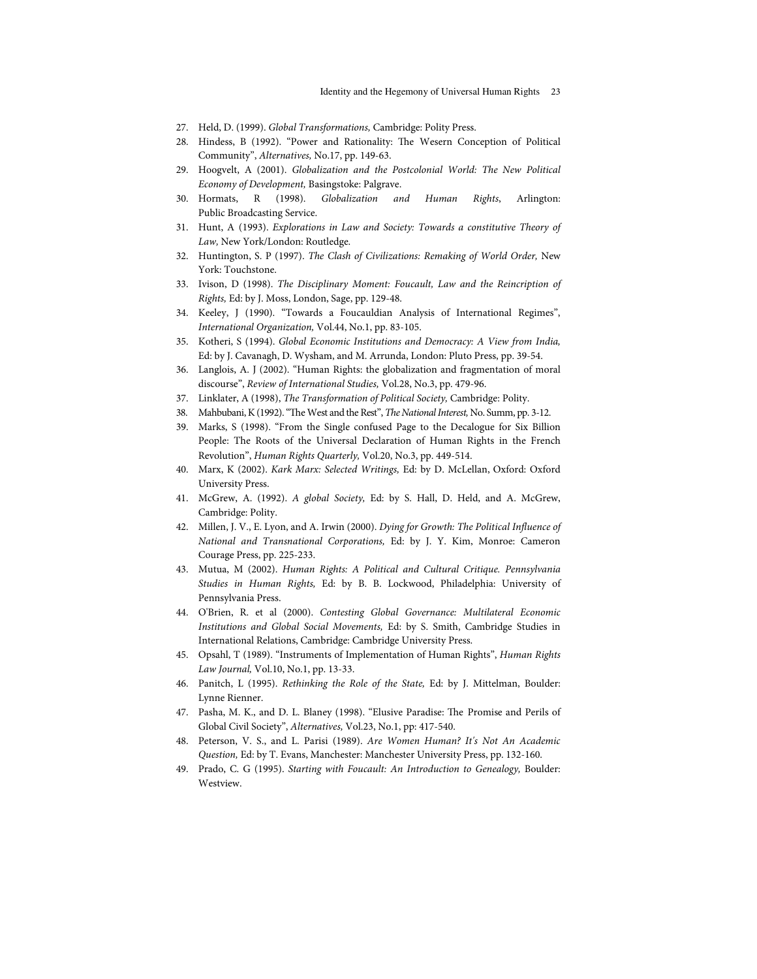- 27. Held, D. (1999). Global Transformations, Cambridge: Polity Press.
- 28. Hindess, B (1992). "Power and Rationality: The Wesern Conception of Political Community", Alternatives, No.17, pp. 149-63.
- 29. Hoogvelt, A (2001). Globalization and the Postcolonial World: The New Political Economy of Development, Basingstoke: Palgrave.
- 30. Hormats, R (1998). Globalization and Human Rights, Arlington: Public Broadcasting Service.
- 31. Hunt, A (1993). Explorations in Law and Society:Towards a constitutive Theory of Law, New York/London: Routledge.
- 32. Huntington, S. P (1997). The Clash of Civilizations: Remaking of World Order, New York: Touchstone.
- 33. Ivison, D (1998). The Disciplinary Moment: Foucault, Law and the Reincription of Rights, Ed: by J. Moss, London, Sage, pp. 129-48.
- 34. Keeley, J (1990). "Towards a Foucauldian Analysis of International Regimes", International Organization, Vol.44, No.1, pp. 83-105.
- 35. Kotheri, S (1994). Global Economic Institutions and Democracy: A View from India, Ed: by J. Cavanagh, D. Wysham, and M. Arrunda, London: Pluto Press, pp. 39-54.
- 36. Langlois, A. J (2002). "Human Rights: the globalization and fragmentation of moral discourse", Review of International Studies, Vol.28, No.3, pp. 479-96.
- 37. Linklater, A (1998), *The Transformation of Political Society*, Cambridge: Polity.
- 38. Mahbubani, K (1992). "The West and the Rest", The National Interest, No. Summ, pp. 3-12.
- 39. Marks, S (1998). "From the Single confused Page to the Decalogue for Six Billion People: The Roots of the Universal Declaration of Human Rights in the French Revolution", Human Rights Quarterly, Vol.20, No.3, pp. 449-514.
- 40. Marx, K (2002). Kark Marx: Selected Writings, Ed: by D. McLellan, Oxford: Oxford University Press.
- 41. McGrew, A. (1992). A global Society, Ed: by S. Hall, D. Held, and A. McGrew, Cambridge: Polity.
- 42. Millen, J. V., E. Lyon, and A. Irwin (2000). Dying for Growth: The Political Influence of National and Transnational Corporations, Ed: by J. Y. Kim, Monroe: Cameron Courage Press, pp. 225-233.
- 43. Mutua, M (2002). Human Rights: A Political and Cultural Critique. Pennsylvania Studies in Human Rights, Ed: by B. B. Lockwood, Philadelphia: University of Pennsylvania Press.
- 44. O'Brien, R. et al (2000). Contesting Global Governance: Multilateral Economic Institutions and Global Social Movements, Ed: by S. Smith, Cambridge Studies in International Relations, Cambridge: Cambridge University Press.
- 45. Opsahl, T (1989). "Instruments of Implementation of Human Rights", Human Rights Law Journal, Vol.10, No.1, pp. 13-33.
- 46. Panitch, L (1995). Rethinking the Role of the State, Ed: by J. Mittelman, Boulder: Lynne Rienner.
- 47. Pasha, M. K., and D. L. Blaney (1998). "Elusive Paradise: The Promise and Perils of Global Civil Society", Alternatives, Vol.23, No.1, pp: 417-540.
- 48. Peterson, V. S., and L. Parisi (1989). Are Women Human? It's Not An Academic Question, Ed: by T. Evans, Manchester: Manchester University Press, pp. 132-160.
- 49. Prado, C. G (1995). Starting with Foucault: An Introduction to Genealogy, Boulder: Westview.